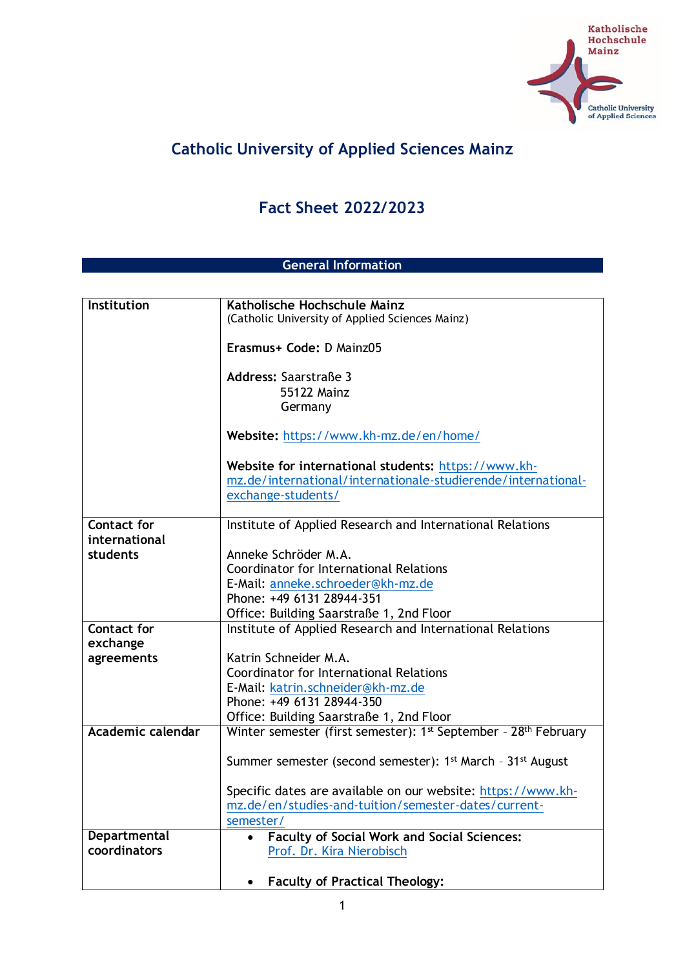

## **Catholic University of Applied Sciences Mainz**

## **Fact Sheet 2022/2023**

## **General Information**

| Institution        | Katholische Hochschule Mainz                                                                 |
|--------------------|----------------------------------------------------------------------------------------------|
|                    | (Catholic University of Applied Sciences Mainz)                                              |
|                    | Erasmus+ Code: D Mainz05                                                                     |
|                    | Address: Saarstraße 3                                                                        |
|                    | 55122 Mainz                                                                                  |
|                    | Germany                                                                                      |
|                    | Website: https://www.kh-mz.de/en/home/                                                       |
|                    | Website for international students: https://www.kh-                                          |
|                    | mz.de/international/internationale-studierende/international-                                |
|                    | exchange-students/                                                                           |
| <b>Contact for</b> | Institute of Applied Research and International Relations                                    |
| international      |                                                                                              |
| students           | Anneke Schröder M.A.                                                                         |
|                    | Coordinator for International Relations                                                      |
|                    | E-Mail: anneke.schroeder@kh-mz.de                                                            |
|                    | Phone: +49 6131 28944-351                                                                    |
|                    | Office: Building Saarstraße 1, 2nd Floor                                                     |
| <b>Contact for</b> | Institute of Applied Research and International Relations                                    |
| exchange           |                                                                                              |
| agreements         | Katrin Schneider M.A.                                                                        |
|                    | Coordinator for International Relations                                                      |
|                    | E-Mail: katrin.schneider@kh-mz.de<br>Phone: +49 6131 28944-350                               |
|                    | Office: Building Saarstraße 1, 2nd Floor                                                     |
| Academic calendar  | Winter semester (first semester): 1 <sup>st</sup> September - 28 <sup>th</sup> February      |
|                    |                                                                                              |
|                    | Summer semester (second semester): 1 <sup>st</sup> March - 31 <sup>st</sup> August           |
|                    |                                                                                              |
|                    | Specific dates are available on our website: https://www.kh-                                 |
|                    | mz.de/en/studies-and-tuition/semester-dates/current-                                         |
| Departmental       | semester/                                                                                    |
| coordinators       | <b>Faculty of Social Work and Social Sciences:</b><br>$\bullet$<br>Prof. Dr. Kira Nierobisch |
|                    |                                                                                              |
|                    | <b>Faculty of Practical Theology:</b>                                                        |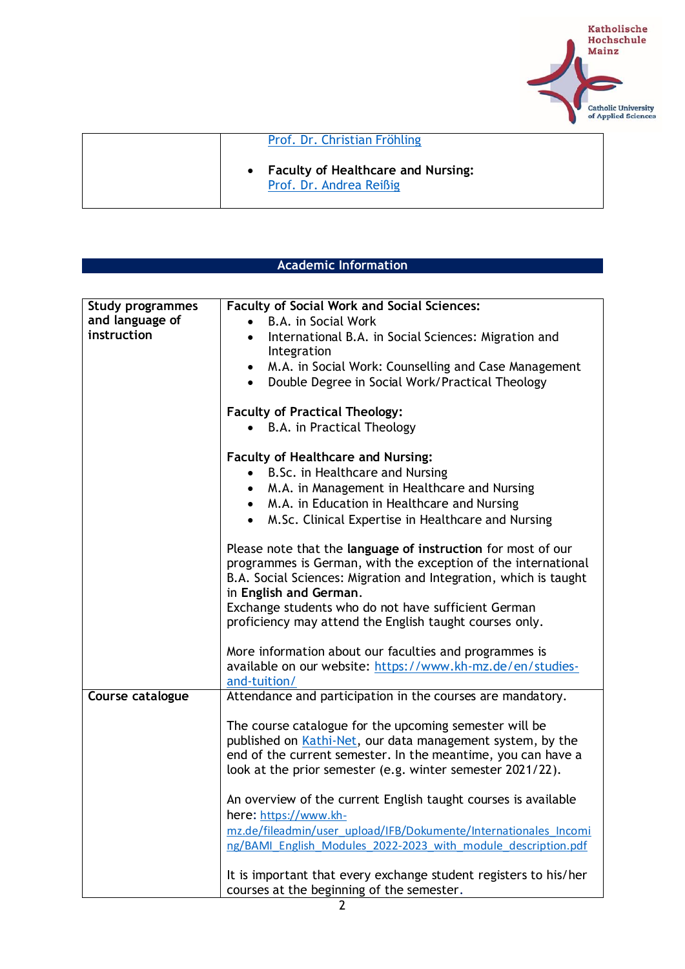

| Prof. Dr. Christian Fröhling                                         |  |
|----------------------------------------------------------------------|--|
| <b>Faculty of Healthcare and Nursing:</b><br>Prof. Dr. Andrea Reißig |  |

| <b>Academic Information</b> |
|-----------------------------|
|                             |

| <b>Study programmes</b> | <b>Faculty of Social Work and Social Sciences:</b>                |
|-------------------------|-------------------------------------------------------------------|
| and language of         | B.A. in Social Work                                               |
| instruction             | International B.A. in Social Sciences: Migration and              |
|                         | Integration                                                       |
|                         | M.A. in Social Work: Counselling and Case Management<br>$\bullet$ |
|                         | Double Degree in Social Work/Practical Theology<br>$\bullet$      |
|                         | <b>Faculty of Practical Theology:</b>                             |
|                         | • B.A. in Practical Theology                                      |
|                         | <b>Faculty of Healthcare and Nursing:</b>                         |
|                         | B.Sc. in Healthcare and Nursing                                   |
|                         | M.A. in Management in Healthcare and Nursing                      |
|                         | M.A. in Education in Healthcare and Nursing                       |
|                         | M.Sc. Clinical Expertise in Healthcare and Nursing<br>$\bullet$   |
|                         |                                                                   |
|                         | Please note that the language of instruction for most of our      |
|                         | programmes is German, with the exception of the international     |
|                         | B.A. Social Sciences: Migration and Integration, which is taught  |
|                         | in English and German.                                            |
|                         | Exchange students who do not have sufficient German               |
|                         | proficiency may attend the English taught courses only.           |
|                         | More information about our faculties and programmes is            |
|                         | available on our website: https://www.kh-mz.de/en/studies-        |
|                         | and-tuition/                                                      |
| Course catalogue        | Attendance and participation in the courses are mandatory.        |
|                         |                                                                   |
|                         | The course catalogue for the upcoming semester will be            |
|                         | published on Kathi-Net, our data management system, by the        |
|                         | end of the current semester. In the meantime, you can have a      |
|                         | look at the prior semester (e.g. winter semester 2021/22).        |
|                         | An overview of the current English taught courses is available    |
|                         | here: https://www.kh-                                             |
|                         | mz.de/fileadmin/user_upload/IFB/Dokumente/Internationales_Incomi  |
|                         | ng/BAMI English Modules 2022-2023 with module description.pdf     |
|                         |                                                                   |
|                         | It is important that every exchange student registers to his/her  |
|                         | courses at the beginning of the semester.                         |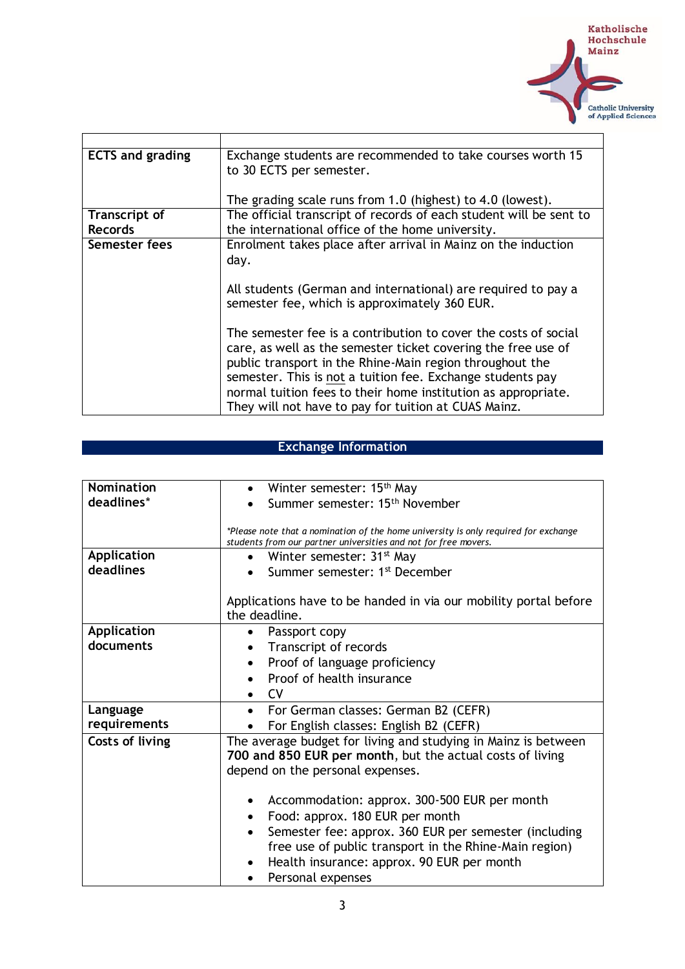

| <b>ECTS and grading</b> | Exchange students are recommended to take courses worth 15<br>to 30 ECTS per semester. |
|-------------------------|----------------------------------------------------------------------------------------|
|                         | The grading scale runs from 1.0 (highest) to 4.0 (lowest).                             |
| Transcript of           | The official transcript of records of each student will be sent to                     |
| <b>Records</b>          | the international office of the home university.                                       |
| Semester fees           | Enrolment takes place after arrival in Mainz on the induction                          |
|                         | day.                                                                                   |
|                         |                                                                                        |
|                         | All students (German and international) are required to pay a                          |
|                         | semester fee, which is approximately 360 EUR.                                          |
|                         | The semester fee is a contribution to cover the costs of social                        |
|                         | care, as well as the semester ticket covering the free use of                          |
|                         | public transport in the Rhine-Main region throughout the                               |
|                         | semester. This is not a tuition fee. Exchange students pay                             |
|                         | normal tuition fees to their home institution as appropriate.                          |
|                         | They will not have to pay for tuition at CUAS Mainz.                                   |

## **Exchange Information**

| Nomination      | Winter semester: 15 <sup>th</sup> May                                               |
|-----------------|-------------------------------------------------------------------------------------|
| deadlines*      | Summer semester: 15 <sup>th</sup> November                                          |
|                 |                                                                                     |
|                 | *Please note that a nomination of the home university is only required for exchange |
|                 | students from our partner universities and not for free movers.                     |
| Application     | Winter semester: 31 <sup>st</sup> May<br>$\bullet$                                  |
| deadlines       | Summer semester: 1 <sup>st</sup> December                                           |
|                 |                                                                                     |
|                 | Applications have to be handed in via our mobility portal before                    |
|                 | the deadline.                                                                       |
| Application     | Passport copy                                                                       |
| documents       | Transcript of records                                                               |
|                 | Proof of language proficiency                                                       |
|                 | Proof of health insurance                                                           |
|                 | <b>CV</b>                                                                           |
| Language        | • For German classes: German B2 (CEFR)                                              |
| requirements    | For English classes: English B2 (CEFR)                                              |
| Costs of living | The average budget for living and studying in Mainz is between                      |
|                 | 700 and 850 EUR per month, but the actual costs of living                           |
|                 | depend on the personal expenses.                                                    |
|                 |                                                                                     |
|                 | Accommodation: approx. 300-500 EUR per month<br>٠                                   |
|                 | Food: approx. 180 EUR per month<br>$\bullet$                                        |
|                 | Semester fee: approx. 360 EUR per semester (including                               |
|                 | free use of public transport in the Rhine-Main region)                              |
|                 | Health insurance: approx. 90 EUR per month                                          |
|                 | Personal expenses<br>$\bullet$                                                      |
|                 |                                                                                     |